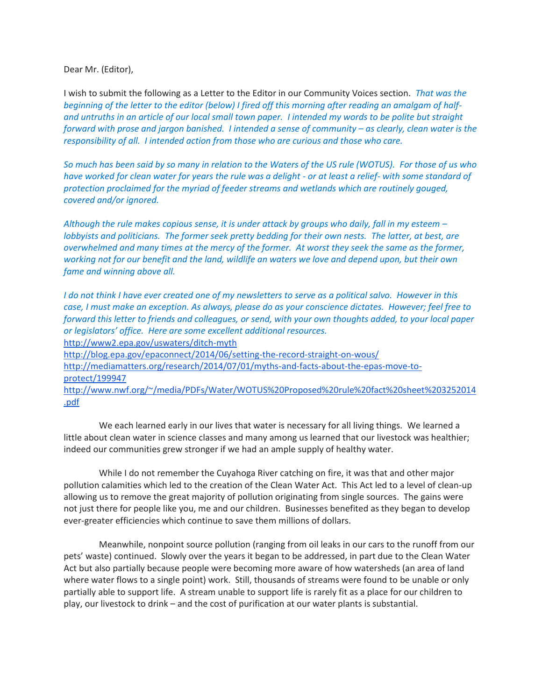Dear Mr. (Editor),

I wish to submit the following as a Letter to the Editor in our Community Voices section. *That was the beginning of the letter to the editor (below) I fired off this morning after reading an amalgam of halfand untruths in an article of our local small town paper. I intended my words to be polite but straight forward with prose and jargon banished. I intended a sense of community – as clearly, clean water is the responsibility of all. I intended action from those who are curious and those who care.*

*So much has been said by so many in relation to the Waters of the US rule (WOTUS). For those of us who have worked for clean water for years the rule was a delight - or at least a relief- with some standard of protection proclaimed for the myriad of feeder streams and wetlands which are routinely gouged, covered and/or ignored.*

*Although the rule makes copious sense, it is under attack by groups who daily, fall in my esteem – lobbyists and politicians. The former seek pretty bedding for their own nests. The latter, at best, are overwhelmed and many times at the mercy of the former. At worst they seek the same as the former, working not for our benefit and the land, wildlife an waters we love and depend upon, but their own fame and winning above all.*

*I do not think I have ever created one of my newsletters to serve as a political salvo. However in this case, I must make an exception. As always, please do as your conscience dictates. However; feel free to forward this letter to friends and colleagues, or send, with your own thoughts added, to your local paper or legislators' office. Here are some excellent additional resources.* <http://www2.epa.gov/uswaters/ditch-myth> <http://blog.epa.gov/epaconnect/2014/06/setting-the-record-straight-on-wous/> [http://mediamatters.org/research/2014/07/01/myths-and-facts-about-the-epas-move-to](http://mediamatters.org/research/2014/07/01/myths-and-facts-about-the-epas-move-to-protect/199947)[protect/199947](http://mediamatters.org/research/2014/07/01/myths-and-facts-about-the-epas-move-to-protect/199947) [http://www.nwf.org/~/media/PDFs/Water/WOTUS%20Proposed%20rule%20fact%20sheet%203252014](http://www.nwf.org/~/media/PDFs/Water/WOTUS%20Proposed%20rule%20fact%20sheet%203252014.pdf) [.pdf](http://www.nwf.org/~/media/PDFs/Water/WOTUS%20Proposed%20rule%20fact%20sheet%203252014.pdf)

 We each learned early in our lives that water is necessary for all living things. We learned a little about clean water in science classes and many among us learned that our livestock was healthier; indeed our communities grew stronger if we had an ample supply of healthy water.

 While I do not remember the Cuyahoga River catching on fire, it was that and other major pollution calamities which led to the creation of the Clean Water Act. This Act led to a level of clean-up allowing us to remove the great majority of pollution originating from single sources. The gains were not just there for people like you, me and our children. Businesses benefited as they began to develop ever-greater efficiencies which continue to save them millions of dollars.

 Meanwhile, nonpoint source pollution (ranging from oil leaks in our cars to the runoff from our pets' waste) continued. Slowly over the years it began to be addressed, in part due to the Clean Water Act but also partially because people were becoming more aware of how watersheds (an area of land where water flows to a single point) work. Still, thousands of streams were found to be unable or only partially able to support life. A stream unable to support life is rarely fit as a place for our children to play, our livestock to drink – and the cost of purification at our water plants is substantial.